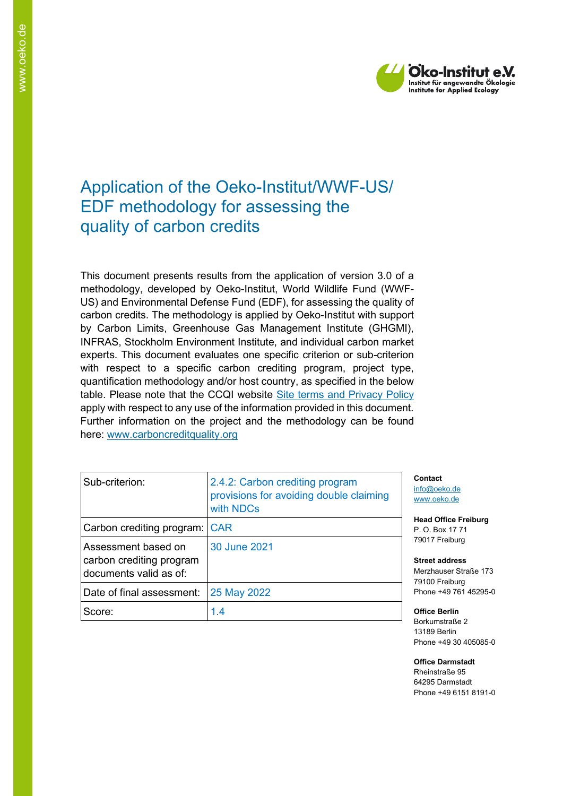

# Application of the Oeko-Institut/WWF-US/ EDF methodology for assessing the quality of carbon credits

This document presents results from the application of version 3.0 of a methodology, developed by Oeko-Institut, World Wildlife Fund (WWF-US) and Environmental Defense Fund (EDF), for assessing the quality of carbon credits. The methodology is applied by Oeko-Institut with support by Carbon Limits, Greenhouse Gas Management Institute (GHGMI), INFRAS, Stockholm Environment Institute, and individual carbon market experts. This document evaluates one specific criterion or sub-criterion with respect to a specific carbon crediting program, project type, quantification methodology and/or host country, as specified in the below table. Please note that the CCQI website [Site terms and Privacy Policy](https://carboncreditquality.org/terms.html) apply with respect to any use of the information provided in this document. Further information on the project and the methodology can be found here: [www.carboncreditquality.org](http://www.carboncreditquality.org/)

| Sub-criterion:                                                            | 2.4.2: Carbon crediting program<br>provisions for avoiding double claiming<br>with NDCs |
|---------------------------------------------------------------------------|-----------------------------------------------------------------------------------------|
| Carbon crediting program: CAR                                             |                                                                                         |
| Assessment based on<br>carbon crediting program<br>documents valid as of: | 30 June 2021                                                                            |
| Date of final assessment:                                                 | 25 May 2022                                                                             |
| Score:                                                                    | 1.4                                                                                     |

**Contact** [info@oeko.de](mailto:info@oeko.de) [www.oeko.de](http://www.oeko.de/)

**Head Office Freiburg** P. O. Box 17 71 79017 Freiburg

**Street address** Merzhauser Straße 173 79100 Freiburg Phone +49 761 45295-0

**Office Berlin** Borkumstraße 2 13189 Berlin Phone +49 30 405085-0

**Office Darmstadt** Rheinstraße 95 64295 Darmstadt Phone +49 6151 8191-0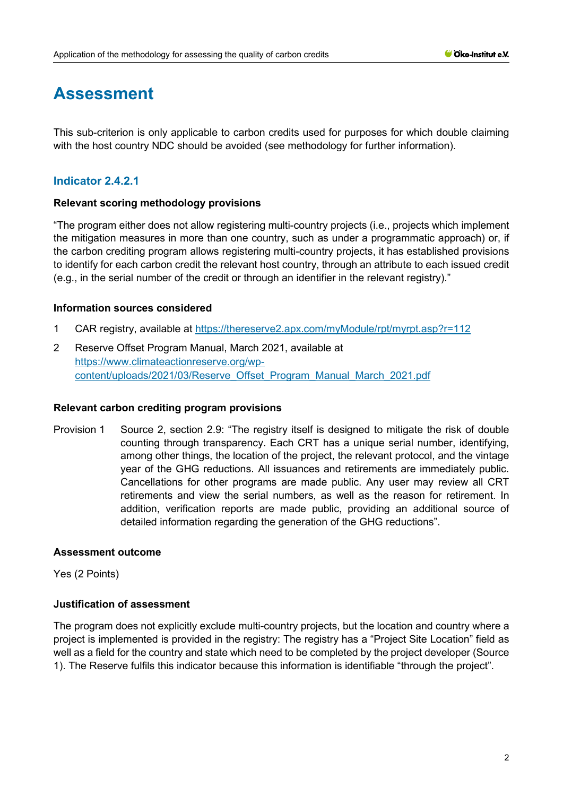# **Assessment**

This sub-criterion is only applicable to carbon credits used for purposes for which double claiming with the host country NDC should be avoided (see methodology for further information).

# **Indicator 2.4.2.1**

# **Relevant scoring methodology provisions**

"The program either does not allow registering multi-country projects (i.e., projects which implement the mitigation measures in more than one country, such as under a programmatic approach) or, if the carbon crediting program allows registering multi-country projects, it has established provisions to identify for each carbon credit the relevant host country, through an attribute to each issued credit (e.g., in the serial number of the credit or through an identifier in the relevant registry)."

# **Information sources considered**

- 1 CAR registry, available at<https://thereserve2.apx.com/myModule/rpt/myrpt.asp?r=112>
- 2 Reserve Offset Program Manual, March 2021, available at [https://www.climateactionreserve.org/wp](https://www.climateactionreserve.org/wp-content/uploads/2021/03/Reserve_Offset_Program_Manual_March_2021.pdf)[content/uploads/2021/03/Reserve\\_Offset\\_Program\\_Manual\\_March\\_2021.pdf](https://www.climateactionreserve.org/wp-content/uploads/2021/03/Reserve_Offset_Program_Manual_March_2021.pdf)

# **Relevant carbon crediting program provisions**

Provision 1 Source 2, section 2.9: "The registry itself is designed to mitigate the risk of double counting through transparency. Each CRT has a unique serial number, identifying, among other things, the location of the project, the relevant protocol, and the vintage year of the GHG reductions. All issuances and retirements are immediately public. Cancellations for other programs are made public. Any user may review all CRT retirements and view the serial numbers, as well as the reason for retirement. In addition, verification reports are made public, providing an additional source of detailed information regarding the generation of the GHG reductions".

# **Assessment outcome**

Yes (2 Points)

# **Justification of assessment**

The program does not explicitly exclude multi-country projects, but the location and country where a project is implemented is provided in the registry: The registry has a "Project Site Location" field as well as a field for the country and state which need to be completed by the project developer (Source 1). The Reserve fulfils this indicator because this information is identifiable "through the project".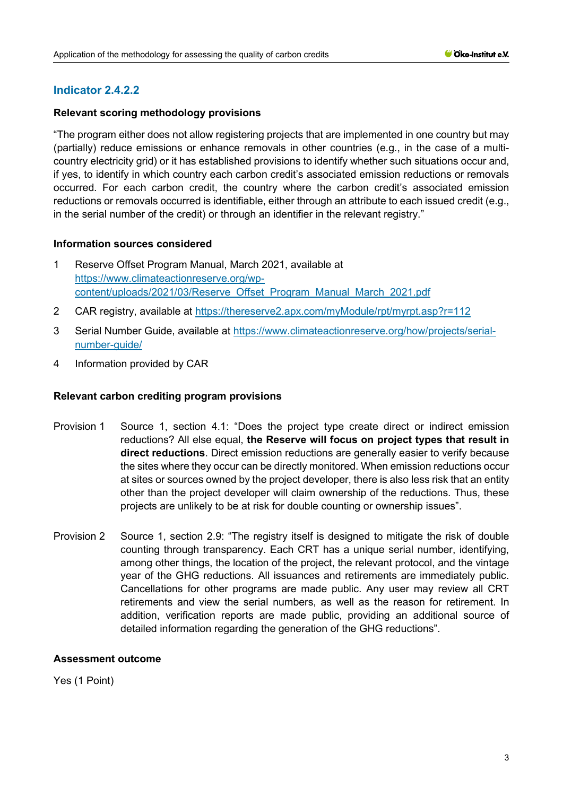# **Relevant scoring methodology provisions**

"The program either does not allow registering projects that are implemented in one country but may (partially) reduce emissions or enhance removals in other countries (e.g., in the case of a multicountry electricity grid) or it has established provisions to identify whether such situations occur and, if yes, to identify in which country each carbon credit's associated emission reductions or removals occurred. For each carbon credit, the country where the carbon credit's associated emission reductions or removals occurred is identifiable, either through an attribute to each issued credit (e.g., in the serial number of the credit) or through an identifier in the relevant registry."

# **Information sources considered**

- 1 Reserve Offset Program Manual, March 2021, available at [https://www.climateactionreserve.org/wp](https://www.climateactionreserve.org/wp-content/uploads/2021/03/Reserve_Offset_Program_Manual_March_2021.pdf)[content/uploads/2021/03/Reserve\\_Offset\\_Program\\_Manual\\_March\\_2021.pdf](https://www.climateactionreserve.org/wp-content/uploads/2021/03/Reserve_Offset_Program_Manual_March_2021.pdf)
- 2 CAR registry, available at<https://thereserve2.apx.com/myModule/rpt/myrpt.asp?r=112>
- 3 Serial Number Guide, available at [https://www.climateactionreserve.org/how/projects/serial](https://www.climateactionreserve.org/how/projects/serial-number-guide/)[number-guide/](https://www.climateactionreserve.org/how/projects/serial-number-guide/)
- 4 Information provided by CAR

# **Relevant carbon crediting program provisions**

- Provision 1 Source 1, section 4.1: "Does the project type create direct or indirect emission reductions? All else equal, **the Reserve will focus on project types that result in direct reductions**. Direct emission reductions are generally easier to verify because the sites where they occur can be directly monitored. When emission reductions occur at sites or sources owned by the project developer, there is also less risk that an entity other than the project developer will claim ownership of the reductions. Thus, these projects are unlikely to be at risk for double counting or ownership issues".
- Provision 2 Source 1, section 2.9: "The registry itself is designed to mitigate the risk of double counting through transparency. Each CRT has a unique serial number, identifying, among other things, the location of the project, the relevant protocol, and the vintage year of the GHG reductions. All issuances and retirements are immediately public. Cancellations for other programs are made public. Any user may review all CRT retirements and view the serial numbers, as well as the reason for retirement. In addition, verification reports are made public, providing an additional source of detailed information regarding the generation of the GHG reductions".

# **Assessment outcome**

Yes (1 Point)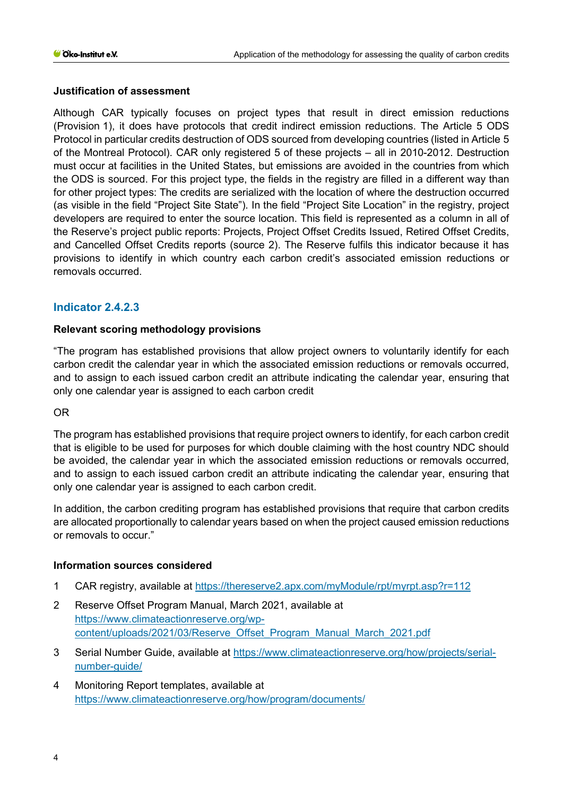# **Justification of assessment**

Although CAR typically focuses on project types that result in direct emission reductions (Provision 1), it does have protocols that credit indirect emission reductions. The Article 5 ODS Protocol in particular credits destruction of ODS sourced from developing countries (listed in Article 5 of the Montreal Protocol). CAR only registered 5 of these projects – all in 2010-2012. Destruction must occur at facilities in the United States, but emissions are avoided in the countries from which the ODS is sourced. For this project type, the fields in the registry are filled in a different way than for other project types: The credits are serialized with the location of where the destruction occurred (as visible in the field "Project Site State"). In the field "Project Site Location" in the registry, project developers are required to enter the source location. This field is represented as a column in all of the Reserve's project public reports: Projects, Project Offset Credits Issued, Retired Offset Credits, and Cancelled Offset Credits reports (source 2). The Reserve fulfils this indicator because it has provisions to identify in which country each carbon credit's associated emission reductions or removals occurred.

# **Indicator 2.4.2.3**

# **Relevant scoring methodology provisions**

"The program has established provisions that allow project owners to voluntarily identify for each carbon credit the calendar year in which the associated emission reductions or removals occurred, and to assign to each issued carbon credit an attribute indicating the calendar year, ensuring that only one calendar year is assigned to each carbon credit

# OR

The program has established provisions that require project owners to identify, for each carbon credit that is eligible to be used for purposes for which double claiming with the host country NDC should be avoided, the calendar year in which the associated emission reductions or removals occurred, and to assign to each issued carbon credit an attribute indicating the calendar year, ensuring that only one calendar year is assigned to each carbon credit.

In addition, the carbon crediting program has established provisions that require that carbon credits are allocated proportionally to calendar years based on when the project caused emission reductions or removals to occur."

# **Information sources considered**

- 1 CAR registry, available at<https://thereserve2.apx.com/myModule/rpt/myrpt.asp?r=112>
- 2 Reserve Offset Program Manual, March 2021, available at [https://www.climateactionreserve.org/wp](https://www.climateactionreserve.org/wp-content/uploads/2021/03/Reserve_Offset_Program_Manual_March_2021.pdf)[content/uploads/2021/03/Reserve\\_Offset\\_Program\\_Manual\\_March\\_2021.pdf](https://www.climateactionreserve.org/wp-content/uploads/2021/03/Reserve_Offset_Program_Manual_March_2021.pdf)
- 3 Serial Number Guide, available at [https://www.climateactionreserve.org/how/projects/serial](https://www.climateactionreserve.org/how/projects/serial-number-guide/)[number-guide/](https://www.climateactionreserve.org/how/projects/serial-number-guide/)
- 4 Monitoring Report templates, available at <https://www.climateactionreserve.org/how/program/documents/>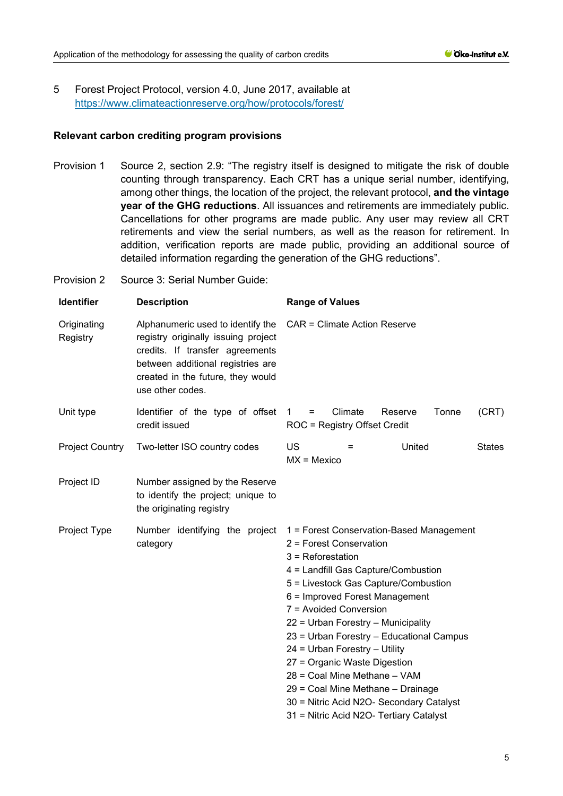5 Forest Project Protocol, version 4.0, June 2017, available at <https://www.climateactionreserve.org/how/protocols/forest/>

#### **Relevant carbon crediting program provisions**

Provision 1 Source 2, section 2.9: "The registry itself is designed to mitigate the risk of double counting through transparency. Each CRT has a unique serial number, identifying, among other things, the location of the project, the relevant protocol, **and the vintage year of the GHG reductions**. All issuances and retirements are immediately public. Cancellations for other programs are made public. Any user may review all CRT retirements and view the serial numbers, as well as the reason for retirement. In addition, verification reports are made public, providing an additional source of detailed information regarding the generation of the GHG reductions".

Provision 2 Source 3: Serial Number Guide:

| <b>Identifier</b>       | <b>Description</b>                                                                                                                                                                                        | <b>Range of Values</b>                                                                                                                                                                                                                                                                                                                                                                                                                                                                                                                               |  |
|-------------------------|-----------------------------------------------------------------------------------------------------------------------------------------------------------------------------------------------------------|------------------------------------------------------------------------------------------------------------------------------------------------------------------------------------------------------------------------------------------------------------------------------------------------------------------------------------------------------------------------------------------------------------------------------------------------------------------------------------------------------------------------------------------------------|--|
| Originating<br>Registry | Alphanumeric used to identify the<br>registry originally issuing project<br>credits. If transfer agreements<br>between additional registries are<br>created in the future, they would<br>use other codes. | <b>CAR = Climate Action Reserve</b>                                                                                                                                                                                                                                                                                                                                                                                                                                                                                                                  |  |
| Unit type               | Identifier of the type of offset<br>credit issued                                                                                                                                                         | Tonne<br>(CRT)<br>Climate<br>Reserve<br>$=$<br>$\overline{1}$<br>ROC = Registry Offset Credit                                                                                                                                                                                                                                                                                                                                                                                                                                                        |  |
| <b>Project Country</b>  | Two-letter ISO country codes                                                                                                                                                                              | US<br>United<br><b>States</b><br>$=$<br>$MX = Mexico$                                                                                                                                                                                                                                                                                                                                                                                                                                                                                                |  |
| Project ID              | Number assigned by the Reserve<br>to identify the project; unique to<br>the originating registry                                                                                                          |                                                                                                                                                                                                                                                                                                                                                                                                                                                                                                                                                      |  |
| Project Type            | Number identifying the project<br>category                                                                                                                                                                | 1 = Forest Conservation-Based Management<br>2 = Forest Conservation<br>$3$ = Reforestation<br>4 = Landfill Gas Capture/Combustion<br>5 = Livestock Gas Capture/Combustion<br>6 = Improved Forest Management<br>7 = Avoided Conversion<br>22 = Urban Forestry - Municipality<br>23 = Urban Forestry - Educational Campus<br>24 = Urban Forestry - Utility<br>27 = Organic Waste Digestion<br>28 = Coal Mine Methane - VAM<br>29 = Coal Mine Methane - Drainage<br>30 = Nitric Acid N2O- Secondary Catalyst<br>31 = Nitric Acid N2O- Tertiary Catalyst |  |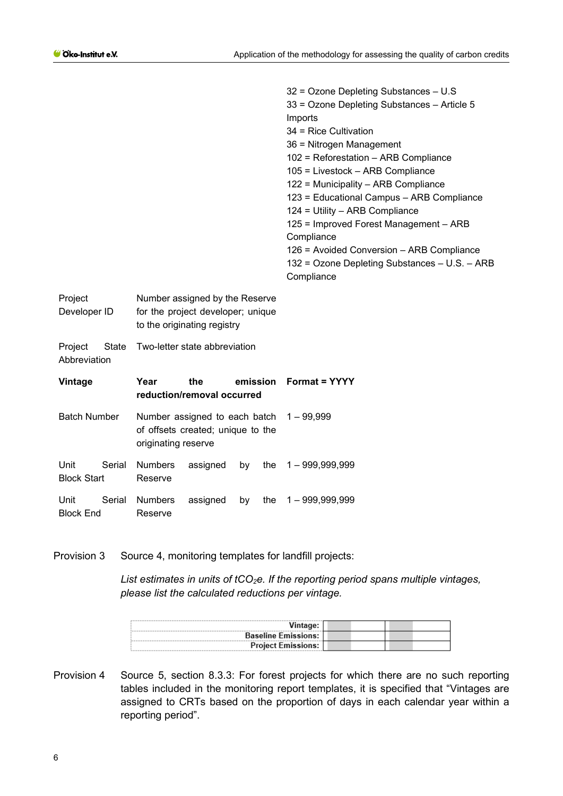|                                         |                                                                                                    | 32 = Ozone Depleting Substances - U.S<br>33 = Ozone Depleting Substances - Article 5<br>Imports<br>34 = Rice Cultivation<br>36 = Nitrogen Management<br>102 = Reforestation - ARB Compliance<br>105 = Livestock - ARB Compliance<br>122 = Municipality - ARB Compliance<br>123 = Educational Campus - ARB Compliance<br>124 = Utility - ARB Compliance<br>125 = Improved Forest Management - ARB<br>Compliance<br>126 = Avoided Conversion - ARB Compliance<br>132 = Ozone Depleting Substances - U.S. - ARB<br>Compliance |
|-----------------------------------------|----------------------------------------------------------------------------------------------------|----------------------------------------------------------------------------------------------------------------------------------------------------------------------------------------------------------------------------------------------------------------------------------------------------------------------------------------------------------------------------------------------------------------------------------------------------------------------------------------------------------------------------|
| Project<br>Developer ID                 | Number assigned by the Reserve<br>for the project developer; unique<br>to the originating registry |                                                                                                                                                                                                                                                                                                                                                                                                                                                                                                                            |
| <b>State</b><br>Project<br>Abbreviation | Two-letter state abbreviation                                                                      |                                                                                                                                                                                                                                                                                                                                                                                                                                                                                                                            |
| Vintage                                 | Year<br>the<br>emission<br>reduction/removal occurred                                              | <b>Format = YYYY</b>                                                                                                                                                                                                                                                                                                                                                                                                                                                                                                       |
| <b>Batch Number</b>                     | Number assigned to each batch<br>of offsets created; unique to the<br>originating reserve          | $1 - 99,999$                                                                                                                                                                                                                                                                                                                                                                                                                                                                                                               |
| Unit<br>Serial<br><b>Block Start</b>    | <b>Numbers</b><br>assigned<br>the<br>by<br>Reserve                                                 | $1 - 999,999,999$                                                                                                                                                                                                                                                                                                                                                                                                                                                                                                          |
| Unit<br>Serial<br><b>Block End</b>      | <b>Numbers</b><br>assigned<br>by<br>the<br>Reserve                                                 | $1 - 999,999,999$                                                                                                                                                                                                                                                                                                                                                                                                                                                                                                          |

Provision 3 Source 4, monitoring templates for landfill projects:

List estimates in units of tCO<sub>2</sub>e. If the reporting period spans multiple vintages, *please list the calculated reductions per vintage.* 

| <b>Baseline Emissions:</b> |  |
|----------------------------|--|
| <b>Project Emissions:</b>  |  |

Provision 4 Source 5, section 8.3.3: For forest projects for which there are no such reporting tables included in the monitoring report templates, it is specified that "Vintages are assigned to CRTs based on the proportion of days in each calendar year within a reporting period".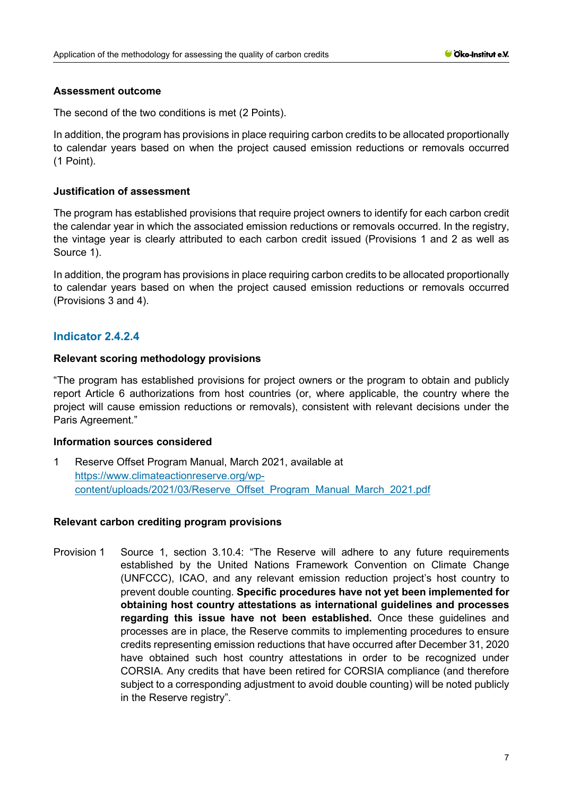#### **Assessment outcome**

The second of the two conditions is met (2 Points).

In addition, the program has provisions in place requiring carbon credits to be allocated proportionally to calendar years based on when the project caused emission reductions or removals occurred (1 Point).

# **Justification of assessment**

The program has established provisions that require project owners to identify for each carbon credit the calendar year in which the associated emission reductions or removals occurred. In the registry, the vintage year is clearly attributed to each carbon credit issued (Provisions 1 and 2 as well as Source 1).

In addition, the program has provisions in place requiring carbon credits to be allocated proportionally to calendar years based on when the project caused emission reductions or removals occurred (Provisions 3 and 4).

# **Indicator 2.4.2.4**

#### **Relevant scoring methodology provisions**

"The program has established provisions for project owners or the program to obtain and publicly report Article 6 authorizations from host countries (or, where applicable, the country where the project will cause emission reductions or removals), consistent with relevant decisions under the Paris Agreement."

#### **Information sources considered**

1 Reserve Offset Program Manual, March 2021, available at [https://www.climateactionreserve.org/wp](https://www.climateactionreserve.org/wp-content/uploads/2021/03/Reserve_Offset_Program_Manual_March_2021.pdf)[content/uploads/2021/03/Reserve\\_Offset\\_Program\\_Manual\\_March\\_2021.pdf](https://www.climateactionreserve.org/wp-content/uploads/2021/03/Reserve_Offset_Program_Manual_March_2021.pdf)

# **Relevant carbon crediting program provisions**

Provision 1 Source 1, section 3.10.4: "The Reserve will adhere to any future requirements established by the United Nations Framework Convention on Climate Change (UNFCCC), ICAO, and any relevant emission reduction project's host country to prevent double counting. **Specific procedures have not yet been implemented for obtaining host country attestations as international guidelines and processes regarding this issue have not been established.** Once these guidelines and processes are in place, the Reserve commits to implementing procedures to ensure credits representing emission reductions that have occurred after December 31, 2020 have obtained such host country attestations in order to be recognized under CORSIA. Any credits that have been retired for CORSIA compliance (and therefore subject to a corresponding adjustment to avoid double counting) will be noted publicly in the Reserve registry".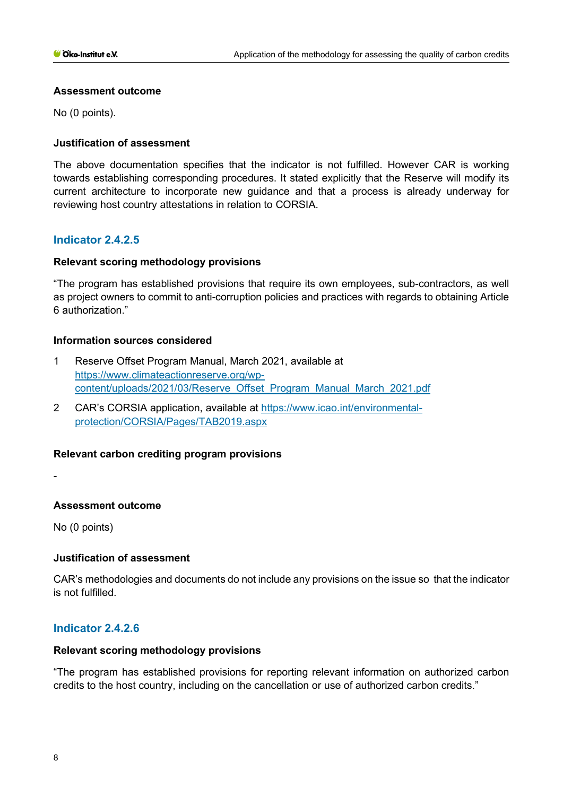### **Assessment outcome**

No (0 points).

# **Justification of assessment**

The above documentation specifies that the indicator is not fulfilled. However CAR is working towards establishing corresponding procedures. It stated explicitly that the Reserve will modify its current architecture to incorporate new guidance and that a process is already underway for reviewing host country attestations in relation to CORSIA.

# **Indicator 2.4.2.5**

# **Relevant scoring methodology provisions**

"The program has established provisions that require its own employees, sub-contractors, as well as project owners to commit to anti-corruption policies and practices with regards to obtaining Article 6 authorization."

#### **Information sources considered**

- 1 Reserve Offset Program Manual, March 2021, available at [https://www.climateactionreserve.org/wp](https://www.climateactionreserve.org/wp-content/uploads/2021/03/Reserve_Offset_Program_Manual_March_2021.pdf)[content/uploads/2021/03/Reserve\\_Offset\\_Program\\_Manual\\_March\\_2021.pdf](https://www.climateactionreserve.org/wp-content/uploads/2021/03/Reserve_Offset_Program_Manual_March_2021.pdf)
- 2 CAR's CORSIA application, available at [https://www.icao.int/environmental](https://www.icao.int/environmental-protection/CORSIA/Pages/TAB2019.aspx)[protection/CORSIA/Pages/TAB2019.aspx](https://www.icao.int/environmental-protection/CORSIA/Pages/TAB2019.aspx)

# **Relevant carbon crediting program provisions**

-

# **Assessment outcome**

No (0 points)

# **Justification of assessment**

CAR's methodologies and documents do not include any provisions on the issue so that the indicator is not fulfilled.

# **Indicator 2.4.2.6**

#### **Relevant scoring methodology provisions**

"The program has established provisions for reporting relevant information on authorized carbon credits to the host country, including on the cancellation or use of authorized carbon credits."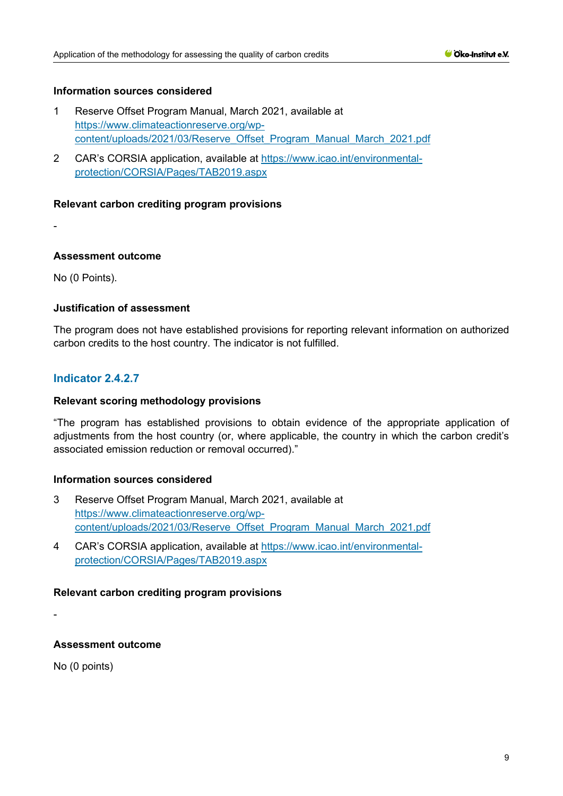# **Information sources considered**

- 1 Reserve Offset Program Manual, March 2021, available at [https://www.climateactionreserve.org/wp](https://www.climateactionreserve.org/wp-content/uploads/2021/03/Reserve_Offset_Program_Manual_March_2021.pdf)[content/uploads/2021/03/Reserve\\_Offset\\_Program\\_Manual\\_March\\_2021.pdf](https://www.climateactionreserve.org/wp-content/uploads/2021/03/Reserve_Offset_Program_Manual_March_2021.pdf)
- 2 CAR's CORSIA application, available at [https://www.icao.int/environmental](https://www.icao.int/environmental-protection/CORSIA/Pages/TAB2019.aspx)[protection/CORSIA/Pages/TAB2019.aspx](https://www.icao.int/environmental-protection/CORSIA/Pages/TAB2019.aspx)

#### **Relevant carbon crediting program provisions**

-

#### **Assessment outcome**

No (0 Points).

#### **Justification of assessment**

The program does not have established provisions for reporting relevant information on authorized carbon credits to the host country. The indicator is not fulfilled.

# **Indicator 2.4.2.7**

## **Relevant scoring methodology provisions**

"The program has established provisions to obtain evidence of the appropriate application of adjustments from the host country (or, where applicable, the country in which the carbon credit's associated emission reduction or removal occurred)."

#### **Information sources considered**

- 3 Reserve Offset Program Manual, March 2021, available at [https://www.climateactionreserve.org/wp](https://www.climateactionreserve.org/wp-content/uploads/2021/03/Reserve_Offset_Program_Manual_March_2021.pdf)[content/uploads/2021/03/Reserve\\_Offset\\_Program\\_Manual\\_March\\_2021.pdf](https://www.climateactionreserve.org/wp-content/uploads/2021/03/Reserve_Offset_Program_Manual_March_2021.pdf)
- 4 CAR's CORSIA application, available at [https://www.icao.int/environmental](https://www.icao.int/environmental-protection/CORSIA/Pages/TAB2019.aspx)[protection/CORSIA/Pages/TAB2019.aspx](https://www.icao.int/environmental-protection/CORSIA/Pages/TAB2019.aspx)

#### **Relevant carbon crediting program provisions**

-

# **Assessment outcome**

No (0 points)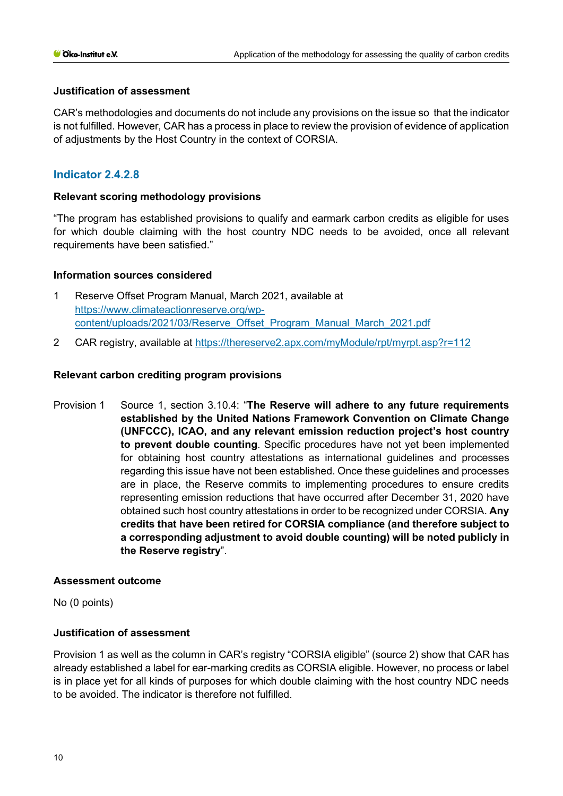# **Justification of assessment**

CAR's methodologies and documents do not include any provisions on the issue so that the indicator is not fulfilled. However, CAR has a process in place to review the provision of evidence of application of adjustments by the Host Country in the context of CORSIA.

# **Indicator 2.4.2.8**

#### **Relevant scoring methodology provisions**

"The program has established provisions to qualify and earmark carbon credits as eligible for uses for which double claiming with the host country NDC needs to be avoided, once all relevant requirements have been satisfied."

#### **Information sources considered**

- 1 Reserve Offset Program Manual, March 2021, available at [https://www.climateactionreserve.org/wp](https://www.climateactionreserve.org/wp-content/uploads/2021/03/Reserve_Offset_Program_Manual_March_2021.pdf)[content/uploads/2021/03/Reserve\\_Offset\\_Program\\_Manual\\_March\\_2021.pdf](https://www.climateactionreserve.org/wp-content/uploads/2021/03/Reserve_Offset_Program_Manual_March_2021.pdf)
- 2 CAR registry, available at<https://thereserve2.apx.com/myModule/rpt/myrpt.asp?r=112>

#### **Relevant carbon crediting program provisions**

Provision 1 Source 1, section 3.10.4: "**The Reserve will adhere to any future requirements established by the United Nations Framework Convention on Climate Change (UNFCCC), ICAO, and any relevant emission reduction project's host country to prevent double counting**. Specific procedures have not yet been implemented for obtaining host country attestations as international guidelines and processes regarding this issue have not been established. Once these guidelines and processes are in place, the Reserve commits to implementing procedures to ensure credits representing emission reductions that have occurred after December 31, 2020 have obtained such host country attestations in order to be recognized under CORSIA. **Any credits that have been retired for CORSIA compliance (and therefore subject to a corresponding adjustment to avoid double counting) will be noted publicly in the Reserve registry**".

#### **Assessment outcome**

No (0 points)

# **Justification of assessment**

Provision 1 as well as the column in CAR's registry "CORSIA eligible" (source 2) show that CAR has already established a label for ear-marking credits as CORSIA eligible. However, no process or label is in place yet for all kinds of purposes for which double claiming with the host country NDC needs to be avoided. The indicator is therefore not fulfilled.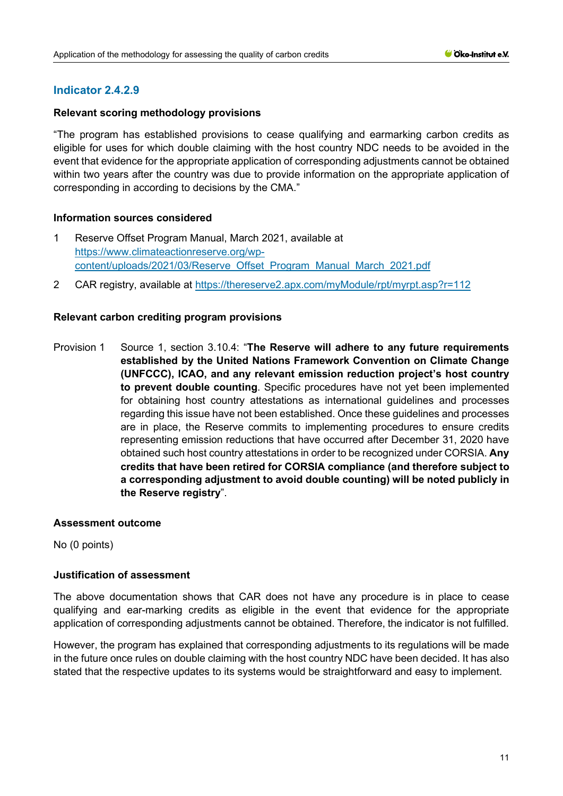# **Relevant scoring methodology provisions**

"The program has established provisions to cease qualifying and earmarking carbon credits as eligible for uses for which double claiming with the host country NDC needs to be avoided in the event that evidence for the appropriate application of corresponding adjustments cannot be obtained within two years after the country was due to provide information on the appropriate application of corresponding in according to decisions by the CMA."

# **Information sources considered**

- 1 Reserve Offset Program Manual, March 2021, available at [https://www.climateactionreserve.org/wp](https://www.climateactionreserve.org/wp-content/uploads/2021/03/Reserve_Offset_Program_Manual_March_2021.pdf)[content/uploads/2021/03/Reserve\\_Offset\\_Program\\_Manual\\_March\\_2021.pdf](https://www.climateactionreserve.org/wp-content/uploads/2021/03/Reserve_Offset_Program_Manual_March_2021.pdf)
- 2 CAR registry, available at<https://thereserve2.apx.com/myModule/rpt/myrpt.asp?r=112>

# **Relevant carbon crediting program provisions**

Provision 1 Source 1, section 3.10.4: "**The Reserve will adhere to any future requirements established by the United Nations Framework Convention on Climate Change (UNFCCC), ICAO, and any relevant emission reduction project's host country to prevent double counting**. Specific procedures have not yet been implemented for obtaining host country attestations as international guidelines and processes regarding this issue have not been established. Once these guidelines and processes are in place, the Reserve commits to implementing procedures to ensure credits representing emission reductions that have occurred after December 31, 2020 have obtained such host country attestations in order to be recognized under CORSIA. **Any credits that have been retired for CORSIA compliance (and therefore subject to a corresponding adjustment to avoid double counting) will be noted publicly in the Reserve registry**".

# **Assessment outcome**

No (0 points)

# **Justification of assessment**

The above documentation shows that CAR does not have any procedure is in place to cease qualifying and ear-marking credits as eligible in the event that evidence for the appropriate application of corresponding adjustments cannot be obtained. Therefore, the indicator is not fulfilled.

However, the program has explained that corresponding adjustments to its regulations will be made in the future once rules on double claiming with the host country NDC have been decided. It has also stated that the respective updates to its systems would be straightforward and easy to implement.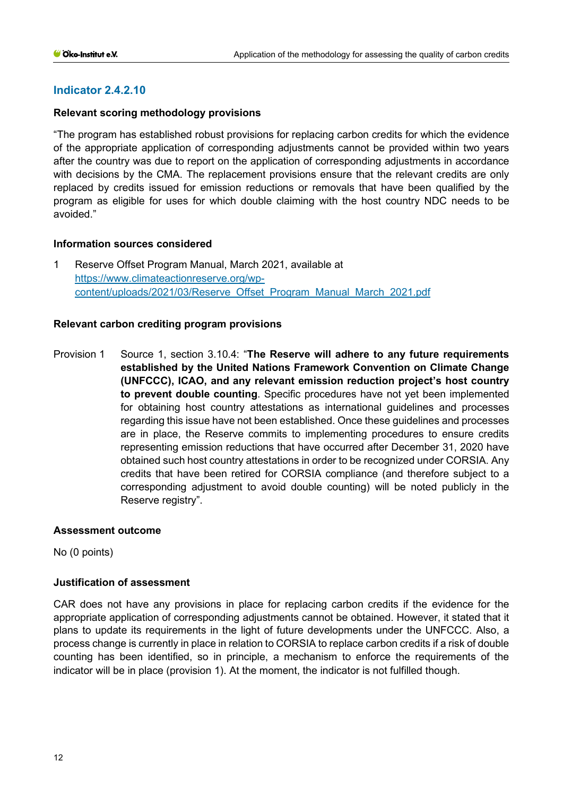# **Relevant scoring methodology provisions**

"The program has established robust provisions for replacing carbon credits for which the evidence of the appropriate application of corresponding adjustments cannot be provided within two years after the country was due to report on the application of corresponding adjustments in accordance with decisions by the CMA. The replacement provisions ensure that the relevant credits are only replaced by credits issued for emission reductions or removals that have been qualified by the program as eligible for uses for which double claiming with the host country NDC needs to be avoided."

# **Information sources considered**

1 Reserve Offset Program Manual, March 2021, available at [https://www.climateactionreserve.org/wp](https://www.climateactionreserve.org/wp-content/uploads/2021/03/Reserve_Offset_Program_Manual_March_2021.pdf)[content/uploads/2021/03/Reserve\\_Offset\\_Program\\_Manual\\_March\\_2021.pdf](https://www.climateactionreserve.org/wp-content/uploads/2021/03/Reserve_Offset_Program_Manual_March_2021.pdf)

# **Relevant carbon crediting program provisions**

Provision 1 Source 1, section 3.10.4: "**The Reserve will adhere to any future requirements established by the United Nations Framework Convention on Climate Change (UNFCCC), ICAO, and any relevant emission reduction project's host country to prevent double counting**. Specific procedures have not yet been implemented for obtaining host country attestations as international guidelines and processes regarding this issue have not been established. Once these guidelines and processes are in place, the Reserve commits to implementing procedures to ensure credits representing emission reductions that have occurred after December 31, 2020 have obtained such host country attestations in order to be recognized under CORSIA. Any credits that have been retired for CORSIA compliance (and therefore subject to a corresponding adjustment to avoid double counting) will be noted publicly in the Reserve registry".

# **Assessment outcome**

No (0 points)

# **Justification of assessment**

CAR does not have any provisions in place for replacing carbon credits if the evidence for the appropriate application of corresponding adjustments cannot be obtained. However, it stated that it plans to update its requirements in the light of future developments under the UNFCCC. Also, a process change is currently in place in relation to CORSIA to replace carbon credits if a risk of double counting has been identified, so in principle, a mechanism to enforce the requirements of the indicator will be in place (provision 1). At the moment, the indicator is not fulfilled though.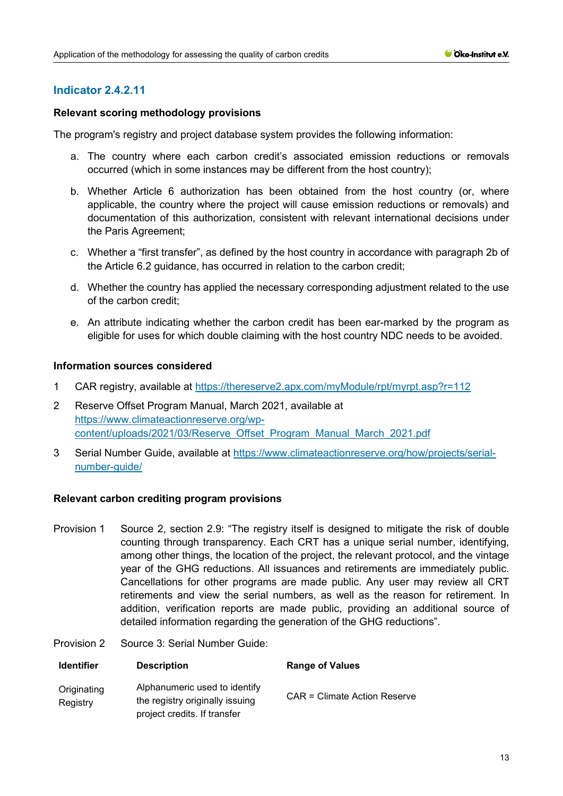#### **Relevant scoring methodology provisions**

The program's registry and project database system provides the following information:

- a. The country where each carbon credit's associated emission reductions or removals occurred (which in some instances may be different from the host country);
- b. Whether Article 6 authorization has been obtained from the host country (or, where applicable, the country where the project will cause emission reductions or removals) and documentation of this authorization, consistent with relevant international decisions under the Paris Agreement;
- c. Whether a "first transfer", as defined by the host country in accordance with paragraph 2b of the Article 6.2 guidance, has occurred in relation to the carbon credit;
- d. Whether the country has applied the necessary corresponding adjustment related to the use of the carbon credit;
- e. An attribute indicating whether the carbon credit has been ear-marked by the program as eligible for uses for which double claiming with the host country NDC needs to be avoided.

#### **Information sources considered**

- 1 CAR registry, available at<https://thereserve2.apx.com/myModule/rpt/myrpt.asp?r=112>
- 2 Reserve Offset Program Manual, March 2021, available at [https://www.climateactionreserve.org/wp](https://www.climateactionreserve.org/wp-content/uploads/2021/03/Reserve_Offset_Program_Manual_March_2021.pdf)[content/uploads/2021/03/Reserve\\_Offset\\_Program\\_Manual\\_March\\_2021.pdf](https://www.climateactionreserve.org/wp-content/uploads/2021/03/Reserve_Offset_Program_Manual_March_2021.pdf)
- 3 Serial Number Guide, available at [https://www.climateactionreserve.org/how/projects/serial](https://www.climateactionreserve.org/how/projects/serial-number-guide/)[number-guide/](https://www.climateactionreserve.org/how/projects/serial-number-guide/)

#### **Relevant carbon crediting program provisions**

- Provision 1 Source 2, section 2.9: "The registry itself is designed to mitigate the risk of double counting through transparency. Each CRT has a unique serial number, identifying, among other things, the location of the project, the relevant protocol, and the vintage year of the GHG reductions. All issuances and retirements are immediately public. Cancellations for other programs are made public. Any user may review all CRT retirements and view the serial numbers, as well as the reason for retirement. In addition, verification reports are made public, providing an additional source of detailed information regarding the generation of the GHG reductions".
- Provision 2 Source 3: Serial Number Guide:

| <b>Identifier</b>       | <b>Description</b>                                                                               | <b>Range of Values</b>       |
|-------------------------|--------------------------------------------------------------------------------------------------|------------------------------|
| Originating<br>Registry | Alphanumeric used to identify<br>the registry originally issuing<br>project credits. If transfer | CAR = Climate Action Reserve |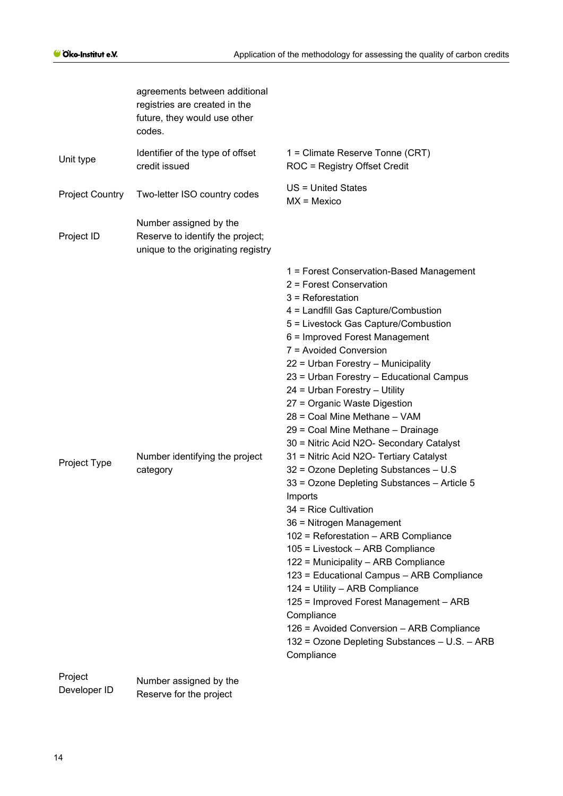|                        | agreements between additional<br>registries are created in the<br>future, they would use other<br>codes. |                                                                                                                                                                                                                                                                                                                                                                                                                                                                                                                                                                                                                                                                                                                                                                                                                                                                                                                                                                                                                                                                                    |
|------------------------|----------------------------------------------------------------------------------------------------------|------------------------------------------------------------------------------------------------------------------------------------------------------------------------------------------------------------------------------------------------------------------------------------------------------------------------------------------------------------------------------------------------------------------------------------------------------------------------------------------------------------------------------------------------------------------------------------------------------------------------------------------------------------------------------------------------------------------------------------------------------------------------------------------------------------------------------------------------------------------------------------------------------------------------------------------------------------------------------------------------------------------------------------------------------------------------------------|
| Unit type              | Identifier of the type of offset<br>credit issued                                                        | 1 = Climate Reserve Tonne (CRT)<br>ROC = Registry Offset Credit                                                                                                                                                                                                                                                                                                                                                                                                                                                                                                                                                                                                                                                                                                                                                                                                                                                                                                                                                                                                                    |
| <b>Project Country</b> | Two-letter ISO country codes                                                                             | US = United States<br>$MX = Mexico$                                                                                                                                                                                                                                                                                                                                                                                                                                                                                                                                                                                                                                                                                                                                                                                                                                                                                                                                                                                                                                                |
| Project ID             | Number assigned by the<br>Reserve to identify the project;<br>unique to the originating registry         |                                                                                                                                                                                                                                                                                                                                                                                                                                                                                                                                                                                                                                                                                                                                                                                                                                                                                                                                                                                                                                                                                    |
| Project Type           | Number identifying the project<br>category                                                               | 1 = Forest Conservation-Based Management<br>2 = Forest Conservation<br>$3$ = Reforestation<br>4 = Landfill Gas Capture/Combustion<br>5 = Livestock Gas Capture/Combustion<br>6 = Improved Forest Management<br>7 = Avoided Conversion<br>22 = Urban Forestry - Municipality<br>23 = Urban Forestry - Educational Campus<br>24 = Urban Forestry - Utility<br>27 = Organic Waste Digestion<br>28 = Coal Mine Methane - VAM<br>29 = Coal Mine Methane - Drainage<br>30 = Nitric Acid N2O- Secondary Catalyst<br>31 = Nitric Acid N2O- Tertiary Catalyst<br>32 = Ozone Depleting Substances - U.S<br>33 = Ozone Depleting Substances - Article 5<br>Imports<br>34 = Rice Cultivation<br>36 = Nitrogen Management<br>102 = Reforestation - ARB Compliance<br>105 = Livestock - ARB Compliance<br>122 = Municipality - ARB Compliance<br>123 = Educational Campus - ARB Compliance<br>124 = Utility - ARB Compliance<br>125 = Improved Forest Management - ARB<br>Compliance<br>126 = Avoided Conversion - ARB Compliance<br>132 = Ozone Depleting Substances - U.S. - ARB<br>Compliance |
| Project                | Number assigned by the                                                                                   |                                                                                                                                                                                                                                                                                                                                                                                                                                                                                                                                                                                                                                                                                                                                                                                                                                                                                                                                                                                                                                                                                    |

| $\sim$ . $\sim$ . | Number assigned by the  |
|-------------------|-------------------------|
| Developer ID      | Reserve for the project |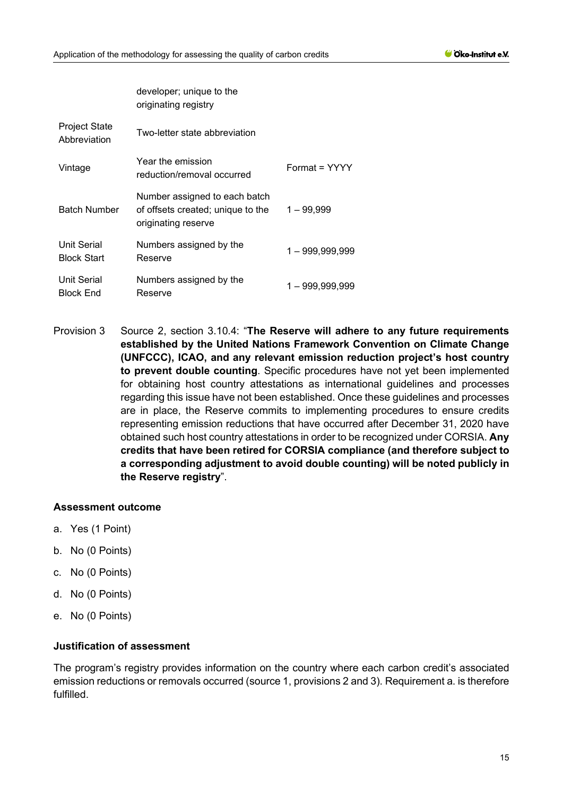|                                          | developer; unique to the<br>originating registry                                          |                   |
|------------------------------------------|-------------------------------------------------------------------------------------------|-------------------|
| <b>Project State</b><br>Abbreviation     | Two-letter state abbreviation                                                             |                   |
| Vintage                                  | Year the emission<br>reduction/removal occurred                                           | Format = YYYY     |
| <b>Batch Number</b>                      | Number assigned to each batch<br>of offsets created; unique to the<br>originating reserve | $1 - 99,999$      |
| <b>Unit Serial</b><br><b>Block Start</b> | Numbers assigned by the<br>Reserve                                                        | $1 - 999,999,999$ |
| <b>Unit Serial</b><br><b>Block End</b>   | Numbers assigned by the<br>Reserve                                                        | 1-999,999,999     |

Provision 3 Source 2, section 3.10.4: "**The Reserve will adhere to any future requirements established by the United Nations Framework Convention on Climate Change (UNFCCC), ICAO, and any relevant emission reduction project's host country to prevent double counting**. Specific procedures have not yet been implemented for obtaining host country attestations as international guidelines and processes regarding this issue have not been established. Once these guidelines and processes are in place, the Reserve commits to implementing procedures to ensure credits representing emission reductions that have occurred after December 31, 2020 have obtained such host country attestations in order to be recognized under CORSIA. **Any credits that have been retired for CORSIA compliance (and therefore subject to a corresponding adjustment to avoid double counting) will be noted publicly in the Reserve registry**".

#### **Assessment outcome**

- a. Yes (1 Point)
- b. No (0 Points)
- c. No (0 Points)
- d. No (0 Points)
- e. No (0 Points)

# **Justification of assessment**

The program's registry provides information on the country where each carbon credit's associated emission reductions or removals occurred (source 1, provisions 2 and 3). Requirement a. is therefore fulfilled.